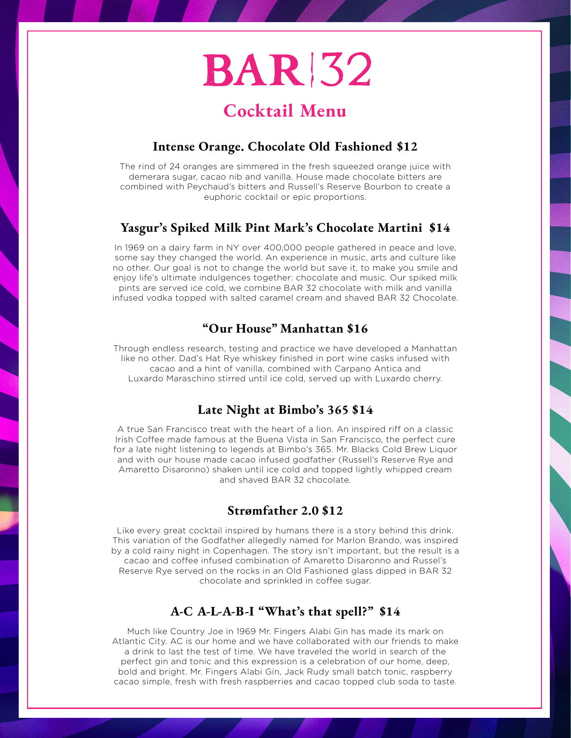## **BAR 32**

## **Cocktail Menu**

#### **Intense Orange. Chocolate Old Fashioned \$12**

The rind of 24 oranges are simmered in the fresh squeezed orange juice with demerara sugar, cacao nib and vanilla. House made chocolate bitters are combined with Peychaud's bitters and Russell's Reserve Bourbon to create a euphoric cocktail or epic proportions.

#### **Yasgur's Spiked Milk Pint Mark's Chocolate Martini \$14**

In 1969 on a dairy farm in NY over 400,000 people gathered in peace and love, some say they changed the world. An experience in music, arts and culture like no other. Our goal is not to change the world but save it, to make you smile and enjoy life's ultimate indulgences together: chocolate and music. Our spiked milk pints are served ice cold, we combine BAR 32 chocolate with milk and vanilla infused vodka topped with salted caramel cream and shaved BAR 32 Chocolate.

#### **"Our House" Manhattan \$16**

Through endless research, testing and practice we have developed a Manhattan like no other. Dad's Hat Rye whiskey finished in port wine casks infused with cacao and a hint of vanilla, combined with Carpano Antica and Luxardo Maraschino stirred until ice cold, served up with Luxardo cherry.

#### **Late Night at Bimbo's 365 \$14**

A true San Francisco treat with the heart of a lion. An inspired riff on a classic Irish Coffee made famous at the Buena Vista in San Francisco, the perfect cure for a late night listening to legends at Bimbo's 365. Mr. Blacks Cold Brew Liquor and with our house made cacao infused godfather (Russell's Reserve Rye and Amaretto Disaronno) shaken until ice cold and topped lightly whipped cream and shaved BAR 32 chocolate.

#### **Strømfather 2.0 \$12**

Like every great cocktail inspired by humans there is a story behind this drink. This variation of the Godfather allegedly named for Marlon Brando, was inspired by a cold rainy night in Copenhagen. The story isn't important, but the result is a cacao and coffee infused combination of Amaretto Disaronno and Russel's Reserve Rye served on the rocks in an Old Fashioned glass dipped in BAR 32 chocolate and sprinkled in coffee sugar.

#### **A-C A-L-A-B-I "What's that spell?" \$14**

Much like Country Joe in 1969 Mr. Fingers Alabi Gin has made its mark on Atlantic City. AC is our home and we have collaborated with our friends to make a drink to last the test of time. We have traveled the world in search of the perfect gin and tonic and this expression is a celebration of our home, deep, bold and bright. Mr. Fingers Alabi Gin, Jack Rudy small batch tonic, raspberry cacao simple, fresh with fresh raspberries and cacao topped club soda to taste.